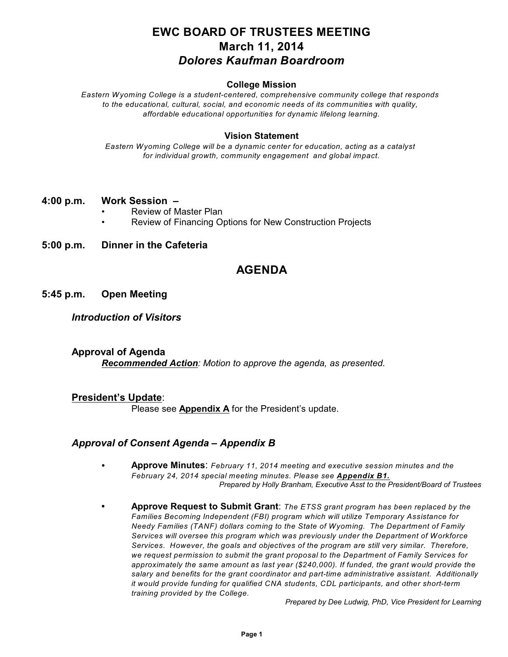# **EWC BOARD OF TRUSTEES MEETING March 11, 2014** *Dolores Kaufman Boardroom*

#### **College Mission**

*Eastern Wyoming College is a student-centered, comprehensive community college that responds to the educational, cultural, social, and economic needs of its communities with quality, affordable educational opportunities for dynamic lifelong learning.*

#### **Vision Statement**

*Eastern Wyoming College will be a dynamic center for education, acting as a catalyst for individual growth, community engagement and global impact.*

#### **4:00 p.m. Work Session –**

- Review of Master Plan
- Review of Financing Options for New Construction Projects
- **5:00 p.m. Dinner in the Cafeteria**

# **AGENDA**

#### **5:45 p.m. Open Meeting**

#### *Introduction of Visitors*

**Approval of Agenda** *Recommended Action: Motion to approve the agenda, as presented.*

#### **President's Update**:

Please see **Appendix A** for the President's update.

### *Approval of Consent Agenda – Appendix B*

- C **Approve Minutes**: *February 11, 2014 meeting and executive session minutes and the February 24, 2014 special meeting minutes. Please see Appendix B1. Prepared by Holly Branham, Executive Asst to the President/Board of Trustees*
- **• Approve Request to Submit Grant**: *The ETSS grant program has been replaced by the Families Becoming Independent (FBI) program which will utilize Temporary Assistance for Needy Families (TANF) dollars coming to the State of Wyoming. The Department of Family Services will oversee this program which was previously under the Department of Workforce Services. However, the goals and objectives of the program are still very similar. Therefore, we request permission to submit the grant proposal to the Department of Family Services for approximately the same amount as last year (\$240,000). If funded, the grant would provide the salary and benefits for the grant coordinator and part-time administrative assistant. Additionally it would provide funding for qualified CNA students, CDL participants, and other short-term training provided by the College.*

*Prepared by Dee Ludwig, PhD, Vice President for Learning*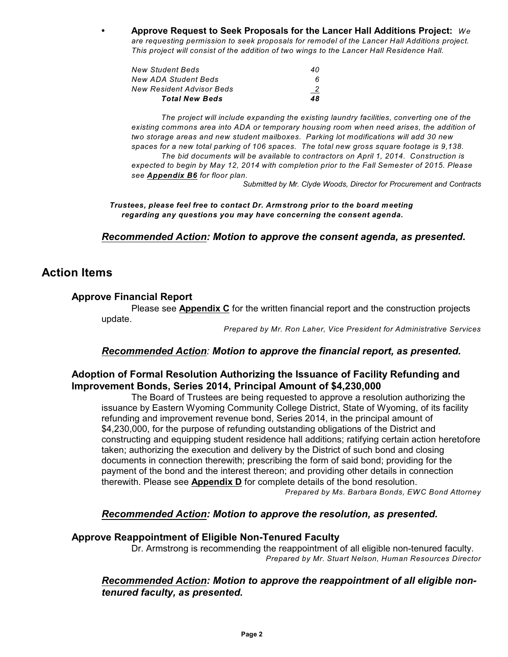**• Approve Request to Seek Proposals for the Lancer Hall Additions Project:** *We are requesting permission to seek proposals for remodel of the Lancer Hall Additions project. This project will consist of the addition of two wings to the Lancer Hall Residence Hall.*

| <b>Total New Beds</b>     | 48 |
|---------------------------|----|
| New Resident Advisor Beds |    |
| New ADA Student Beds      |    |
| New Student Beds          | 40 |
|                           |    |

*The project will include expanding the existing laundry facilities, converting one of the existing commons area into ADA or temporary housing room when need arises, the addition of two storage areas and new student mailboxes. Parking lot modifications will add 30 new spaces for a new total parking of 106 spaces. The total new gross square footage is 9,138. The bid documents will be available to contractors on April 1, 2014. Construction is expected to begin by May 12, 2014 with completion prior to the Fall Semester of 2015. Please see Appendix B6 for floor plan.*

*Submitted by Mr. Clyde Woods, Director for Procurement and Contracts*

*Trustees, please feel free to contact Dr. Armstrong prior to the board meeting regarding any questions you may have concerning the consent agenda.*

*Recommended Action: Motion to approve the consent agenda, as presented***.**

# **Action Items**

### **Approve Financial Report**

Please see **Appendix C** for the written financial report and the construction projects update.

*Prepared by Mr. Ron Laher, Vice President for Administrative Services*

### *Recommended Action: Motion to approve the financial report, as presented.*

### **Adoption of Formal Resolution Authorizing the Issuance of Facility Refunding and Improvement Bonds, Series 2014, Principal Amount of \$4,230,000**

The Board of Trustees are being requested to approve a resolution authorizing the issuance by Eastern Wyoming Community College District, State of Wyoming, of its facility refunding and improvement revenue bond, Series 2014, in the principal amount of \$4,230,000, for the purpose of refunding outstanding obligations of the District and constructing and equipping student residence hall additions; ratifying certain action heretofore taken; authorizing the execution and delivery by the District of such bond and closing documents in connection therewith; prescribing the form of said bond; providing for the payment of the bond and the interest thereon; and providing other details in connection therewith. Please see **Appendix D** for complete details of the bond resolution.

*Prepared by Ms. Barbara Bonds, EWC Bond Attorney*

### *Recommended Action: Motion to approve the resolution, as presented.*

#### **Approve Reappointment of Eligible Non-Tenured Faculty**

Dr. Armstrong is recommending the reappointment of all eligible non-tenured faculty. *Prepared by Mr. Stuart Nelson, Human Resources Director*

### *Recommended Action: Motion to approve the reappointment of all eligible nontenured faculty, as presented.*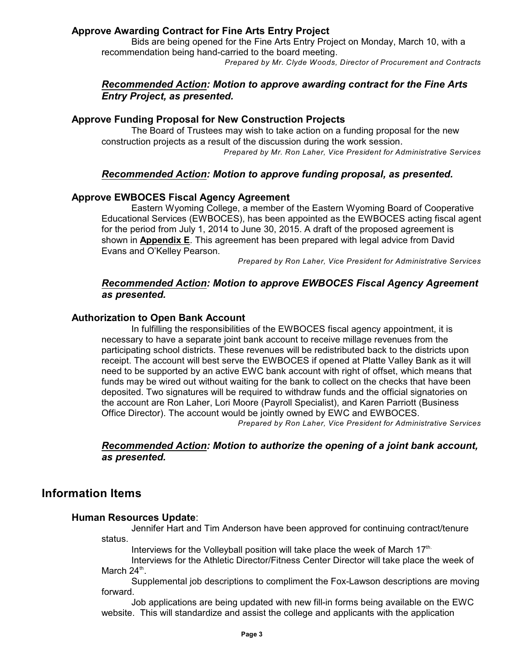### **Approve Awarding Contract for Fine Arts Entry Project**

Bids are being opened for the Fine Arts Entry Project on Monday, March 10, with a recommendation being hand-carried to the board meeting.

*Prepared by Mr. Clyde Woods, Director of Procurement and Contracts*

### *Recommended Action: Motion to approve awarding contract for the Fine Arts Entry Project, as presented.*

### **Approve Funding Proposal for New Construction Projects**

The Board of Trustees may wish to take action on a funding proposal for the new construction projects as a result of the discussion during the work session. *Prepared by Mr. Ron Laher, Vice President for Administrative Services*

### *Recommended Action: Motion to approve funding proposal, as presented.*

### **Approve EWBOCES Fiscal Agency Agreement**

Eastern Wyoming College, a member of the Eastern Wyoming Board of Cooperative Educational Services (EWBOCES), has been appointed as the EWBOCES acting fiscal agent for the period from July 1, 2014 to June 30, 2015. A draft of the proposed agreement is shown in **Appendix E**. This agreement has been prepared with legal advice from David Evans and O'Kelley Pearson.

*Prepared by Ron Laher, Vice President for Administrative Services*

### *Recommended Action: Motion to approve EWBOCES Fiscal Agency Agreement as presented.*

#### **Authorization to Open Bank Account**

In fulfilling the responsibilities of the EWBOCES fiscal agency appointment, it is necessary to have a separate joint bank account to receive millage revenues from the participating school districts. These revenues will be redistributed back to the districts upon receipt. The account will best serve the EWBOCES if opened at Platte Valley Bank as it will need to be supported by an active EWC bank account with right of offset, which means that funds may be wired out without waiting for the bank to collect on the checks that have been deposited. Two signatures will be required to withdraw funds and the official signatories on the account are Ron Laher, Lori Moore (Payroll Specialist), and Karen Parriott (Business Office Director). The account would be jointly owned by EWC and EWBOCES.

*Prepared by Ron Laher, Vice President for Administrative Services*

### *Recommended Action: Motion to authorize the opening of a joint bank account, as presented.*

## **Information Items**

#### **Human Resources Update**:

Jennifer Hart and Tim Anderson have been approved for continuing contract/tenure status.

Interviews for the Volleyball position will take place the week of March 17th.

Interviews for the Athletic Director/Fitness Center Director will take place the week of March 24<sup>th</sup>.

Supplemental job descriptions to compliment the Fox-Lawson descriptions are moving forward.

Job applications are being updated with new fill-in forms being available on the EWC website. This will standardize and assist the college and applicants with the application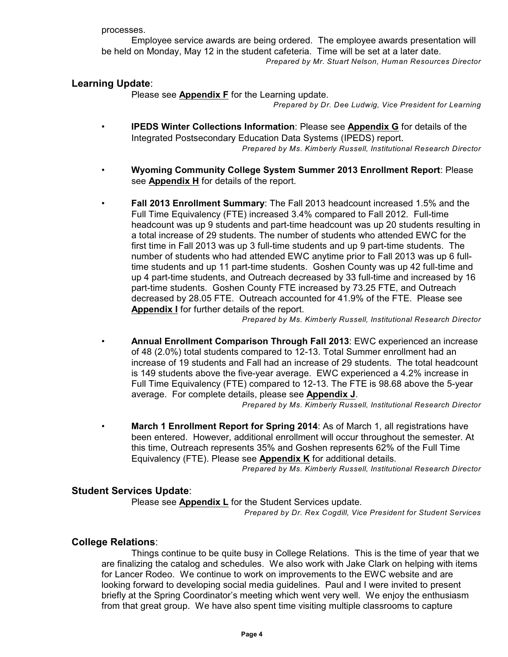processes.

Employee service awards are being ordered. The employee awards presentation will be held on Monday, May 12 in the student cafeteria. Time will be set at a later date. *Prepared by Mr. Stuart Nelson, Human Resources Director*

### **Learning Update**:

Please see **Appendix F** for the Learning update.

*Prepared by Dr. Dee Ludwig, Vice President for Learning*

- **IPEDS Winter Collections Information**: Please see **Appendix G** for details of the Integrated Postsecondary Education Data Systems (IPEDS) report. *Prepared by Ms. Kimberly Russell, Institutional Research Director*
- **Wyoming Community College System Summer 2013 Enrollment Report**: Please see **Appendix H** for details of the report.
- **Fall 2013 Enrollment Summary**: The Fall 2013 headcount increased 1.5% and the Full Time Equivalency (FTE) increased 3.4% compared to Fall 2012. Full-time headcount was up 9 students and part-time headcount was up 20 students resulting in a total increase of 29 students. The number of students who attended EWC for the first time in Fall 2013 was up 3 full-time students and up 9 part-time students. The number of students who had attended EWC anytime prior to Fall 2013 was up 6 fulltime students and up 11 part-time students. Goshen County was up 42 full-time and up 4 part-time students, and Outreach decreased by 33 full-time and increased by 16 part-time students. Goshen County FTE increased by 73.25 FTE, and Outreach decreased by 28.05 FTE. Outreach accounted for 41.9% of the FTE. Please see **Appendix I** for further details of the report.

*Prepared by Ms. Kimberly Russell, Institutional Research Director*

• **Annual Enrollment Comparison Through Fall 2013**: EWC experienced an increase of 48 (2.0%) total students compared to 12-13. Total Summer enrollment had an increase of 19 students and Fall had an increase of 29 students. The total headcount is 149 students above the five-year average. EWC experienced a 4.2% increase in Full Time Equivalency (FTE) compared to 12-13. The FTE is 98.68 above the 5-year average. For complete details, please see **Appendix J**.

*Prepared by Ms. Kimberly Russell, Institutional Research Director*

• **March 1 Enrollment Report for Spring 2014**: As of March 1, all registrations have been entered. However, additional enrollment will occur throughout the semester. At this time, Outreach represents 35% and Goshen represents 62% of the Full Time Equivalency (FTE). Please see **Appendix K** for additional details.

*Prepared by Ms. Kimberly Russell, Institutional Research Director*

### **Student Services Update**:

Please see **Appendix L** for the Student Services update.

*Prepared by Dr. Rex Cogdill, Vice President for Student Services*

### **College Relations**:

Things continue to be quite busy in College Relations. This is the time of year that we are finalizing the catalog and schedules. We also work with Jake Clark on helping with items for Lancer Rodeo. We continue to work on improvements to the EWC website and are looking forward to developing social media guidelines. Paul and I were invited to present briefly at the Spring Coordinator's meeting which went very well. We enjoy the enthusiasm from that great group. We have also spent time visiting multiple classrooms to capture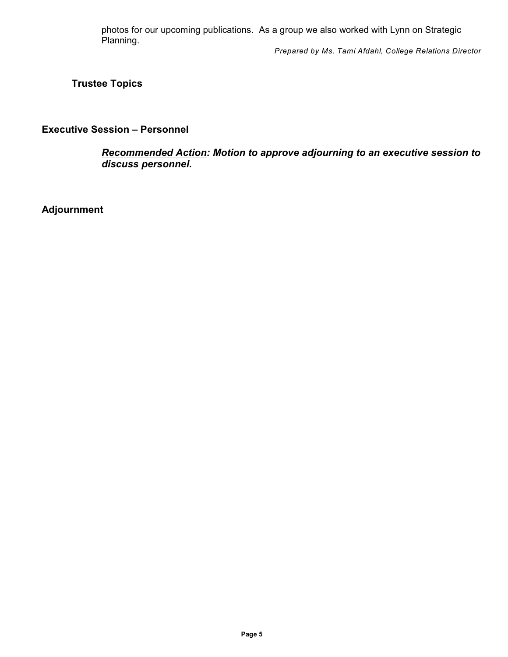photos for our upcoming publications. As a group we also worked with Lynn on Strategic Planning.

*Prepared by Ms. Tami Afdahl, College Relations Director*

**Trustee Topics**

### **Executive Session – Personnel**

*Recommended Action: Motion to approve adjourning to an executive session to discuss personnel.*

**Adjournment**